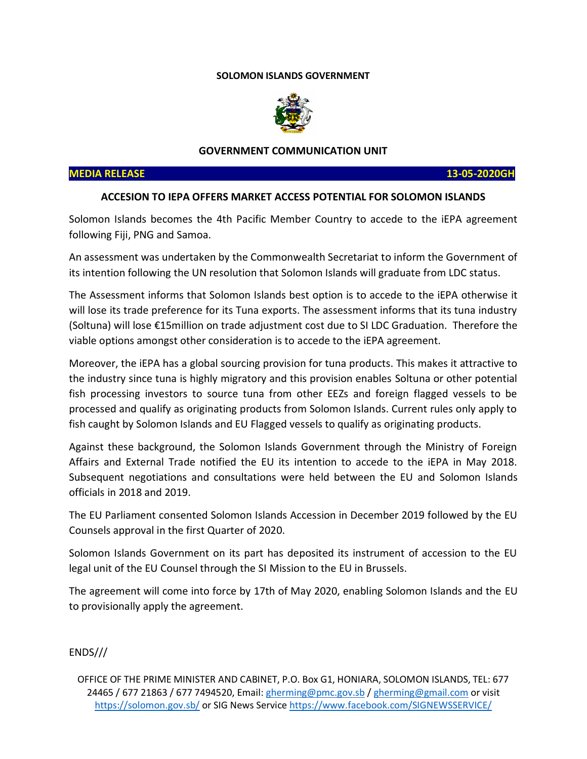## **SOLOMON ISLANDS GOVERNMENT**



#### **GOVERNMENT COMMUNICATION UNIT**

### **MEDIA RELEASE 13-05-2020GH**

# **ACCESION TO IEPA OFFERS MARKET ACCESS POTENTIAL FOR SOLOMON ISLANDS**

Solomon Islands becomes the 4th Pacific Member Country to accede to the iEPA agreement following Fiji, PNG and Samoa.

An assessment was undertaken by the Commonwealth Secretariat to inform the Government of its intention following the UN resolution that Solomon Islands will graduate from LDC status.

The Assessment informs that Solomon Islands best option is to accede to the iEPA otherwise it will lose its trade preference for its Tuna exports. The assessment informs that its tuna industry (Soltuna) will lose €15million on trade adjustment cost due to SI LDC Graduation. Therefore the viable options amongst other consideration is to accede to the iEPA agreement.

Moreover, the iEPA has a global sourcing provision for tuna products. This makes it attractive to the industry since tuna is highly migratory and this provision enables Soltuna or other potential fish processing investors to source tuna from other EEZs and foreign flagged vessels to be processed and qualify as originating products from Solomon Islands. Current rules only apply to fish caught by Solomon Islands and EU Flagged vessels to qualify as originating products.

Against these background, the Solomon Islands Government through the Ministry of Foreign Affairs and External Trade notified the EU its intention to accede to the iEPA in May 2018. Subsequent negotiations and consultations were held between the EU and Solomon Islands officials in 2018 and 2019.

The EU Parliament consented Solomon Islands Accession in December 2019 followed by the EU Counsels approval in the first Quarter of 2020.

Solomon Islands Government on its part has deposited its instrument of accession to the EU legal unit of the EU Counsel through the SI Mission to the EU in Brussels.

The agreement will come into force by 17th of May 2020, enabling Solomon Islands and the EU to provisionally apply the agreement.

ENDS///

OFFICE OF THE PRIME MINISTER AND CABINET, P.O. Box G1, HONIARA, SOLOMON ISLANDS, TEL: 677 24465 / 677 21863 / 677 7494520, Email[: gherming@pmc.gov.sb](mailto:gherming@pmc.gov.sb) / [gherming@gmail.com](mailto:gherming@gmail.com) or visit <https://solomon.gov.sb/> or SIG News Servic[e https://www.facebook.com/SIGNEWSSERVICE/](https://www.facebook.com/SIGNEWSSERVICE/)